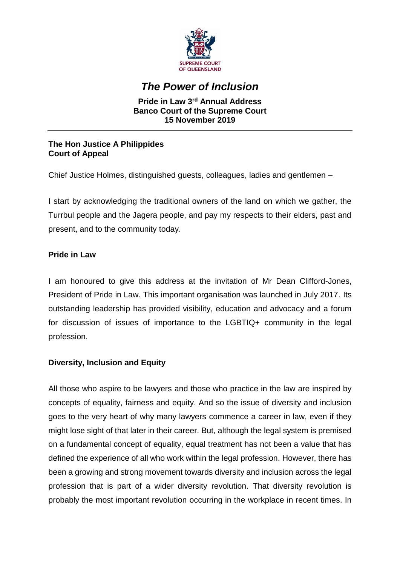

# *The Power of Inclusion*

#### **Pride in Law 3rd Annual Address Banco Court of the Supreme Court 15 November 2019**

## **The Hon Justice A Philippides Court of Appeal**

Chief Justice Holmes, distinguished guests, colleagues, ladies and gentlemen –

I start by acknowledging the traditional owners of the land on which we gather, the Turrbul people and the Jagera people, and pay my respects to their elders, past and present, and to the community today.

## **Pride in Law**

I am honoured to give this address at the invitation of Mr Dean Clifford-Jones, President of Pride in Law. This important organisation was launched in July 2017. Its outstanding leadership has provided visibility, education and advocacy and a forum for discussion of issues of importance to the LGBTIQ+ community in the legal profession.

## **Diversity, Inclusion and Equity**

All those who aspire to be lawyers and those who practice in the law are inspired by concepts of equality, fairness and equity. And so the issue of diversity and inclusion goes to the very heart of why many lawyers commence a career in law, even if they might lose sight of that later in their career. But, although the legal system is premised on a fundamental concept of equality, equal treatment has not been a value that has defined the experience of all who work within the legal profession. However, there has been a growing and strong movement towards diversity and inclusion across the legal profession that is part of a wider diversity revolution. That diversity revolution is probably the most important revolution occurring in the workplace in recent times. In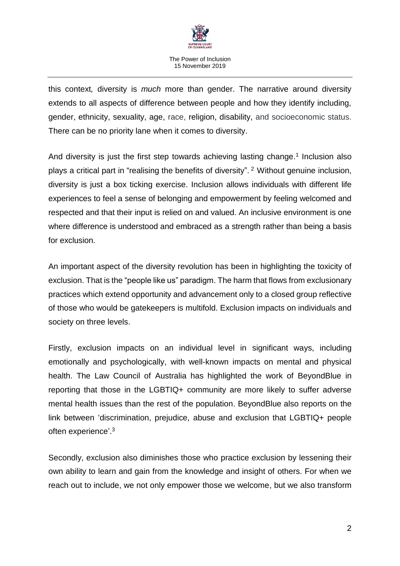

this context*,* diversity is *much* more than gender. The narrative around diversity extends to all aspects of difference between people and how they identify including, gender, ethnicity, sexuality, age, race, religion, disability, and socioeconomic status. There can be no priority lane when it comes to diversity.

And diversity is just the first step towards achieving lasting change.<sup>1</sup> Inclusion also plays a critical part in "realising the benefits of diversity". <sup>2</sup> Without genuine inclusion, diversity is just a box ticking exercise. Inclusion allows individuals with different life experiences to feel a sense of belonging and empowerment by feeling welcomed and respected and that their input is relied on and valued. An inclusive environment is one where difference is understood and embraced as a strength rather than being a basis for exclusion.

An important aspect of the diversity revolution has been in highlighting the toxicity of exclusion. That is the "people like us" paradigm. The harm that flows from exclusionary practices which extend opportunity and advancement only to a closed group reflective of those who would be gatekeepers is multifold. Exclusion impacts on individuals and society on three levels.

Firstly, exclusion impacts on an individual level in significant ways, including emotionally and psychologically, with well-known impacts on mental and physical health. The Law Council of Australia has highlighted the work of [BeyondBlue](https://www.beyondblue.org.au/who-does-it-affect/lesbian-gay-bi-trans-and-intersex-lgbti-people) in reporting that those in the LGBTIQ+ community are more likely to suffer adverse mental health issues than the rest of the population. BeyondBlue also reports on the link between 'discrimination, prejudice, abuse and exclusion that LGBTIQ+ people often experience'.<sup>3</sup>

Secondly, exclusion also diminishes those who practice exclusion by lessening their own ability to learn and gain from the knowledge and insight of others. For when we reach out to include, we not only empower those we welcome, but we also transform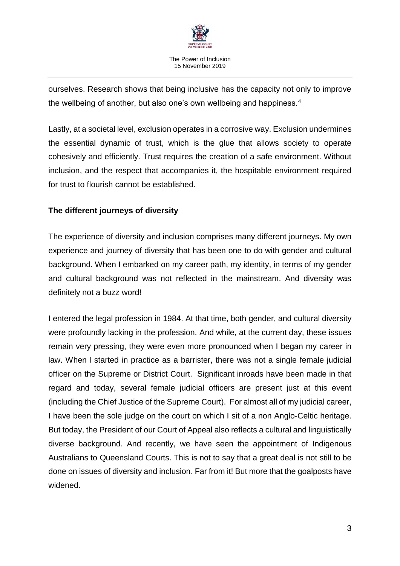

ourselves. Research shows that being inclusive has the capacity not only to improve the wellbeing of another, but also one's own wellbeing and happiness.<sup>4</sup>

Lastly, at a societal level, exclusion operates in a corrosive way. Exclusion undermines the essential dynamic of trust, which is the glue that allows society to operate cohesively and efficiently. Trust requires the creation of a safe environment. Without inclusion, and the respect that accompanies it, the hospitable environment required for trust to flourish cannot be established.

## **The different journeys of diversity**

The experience of diversity and inclusion comprises many different journeys. My own experience and journey of diversity that has been one to do with gender and cultural background. When I embarked on my career path, my identity, in terms of my gender and cultural background was not reflected in the mainstream. And diversity was definitely not a buzz word!

I entered the legal profession in 1984. At that time, both gender, and cultural diversity were profoundly lacking in the profession. And while, at the current day, these issues remain very pressing, they were even more pronounced when I began my career in law. When I started in practice as a barrister, there was not a single female judicial officer on the Supreme or District Court. Significant inroads have been made in that regard and today, several female judicial officers are present just at this event (including the Chief Justice of the Supreme Court). For almost all of my judicial career, I have been the sole judge on the court on which I sit of a non Anglo-Celtic heritage. But today, the President of our Court of Appeal also reflects a cultural and linguistically diverse background. And recently, we have seen the appointment of Indigenous Australians to Queensland Courts. This is not to say that a great deal is not still to be done on issues of diversity and inclusion. Far from it! But more that the goalposts have widened.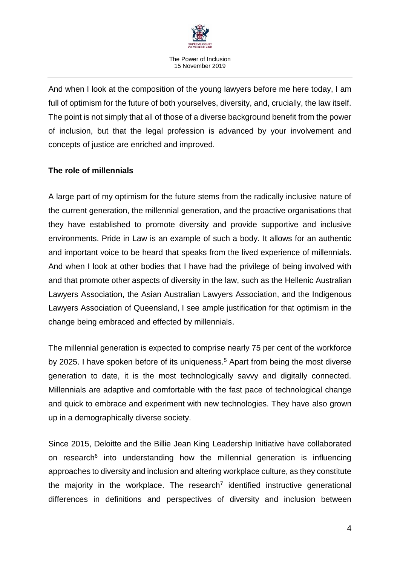

And when I look at the composition of the young lawyers before me here today, I am full of optimism for the future of both yourselves, diversity, and, crucially, the law itself. The point is not simply that all of those of a diverse background benefit from the power of inclusion, but that the legal profession is advanced by your involvement and concepts of justice are enriched and improved.

#### **The role of millennials**

A large part of my optimism for the future stems from the radically inclusive nature of the current generation, the millennial generation, and the proactive organisations that they have established to promote diversity and provide supportive and inclusive environments. Pride in Law is an example of such a body. It allows for an authentic and important voice to be heard that speaks from the lived experience of millennials. And when I look at other bodies that I have had the privilege of being involved with and that promote other aspects of diversity in the law, such as the Hellenic Australian Lawyers Association, the Asian Australian Lawyers Association, and the Indigenous Lawyers Association of Queensland, I see ample justification for that optimism in the change being embraced and effected by millennials.

The millennial generation is expected to comprise nearly 75 per cent of the workforce by 2025. I have spoken before of its uniqueness.<sup>5</sup> Apart from being the most diverse generation to date, it is the most technologically savvy and digitally connected. Millennials are adaptive and comfortable with the fast pace of technological change and quick to embrace and experiment with new technologies. They have also grown up in a demographically diverse society.

Since 2015, Deloitte and the Billie Jean King Leadership Initiative have collaborated on research<sup>6</sup> into understanding how the millennial generation is influencing approaches to diversity and inclusion and altering workplace culture, as they constitute the majority in the workplace. The research<sup>7</sup> identified instructive generational differences in definitions and perspectives of diversity and inclusion between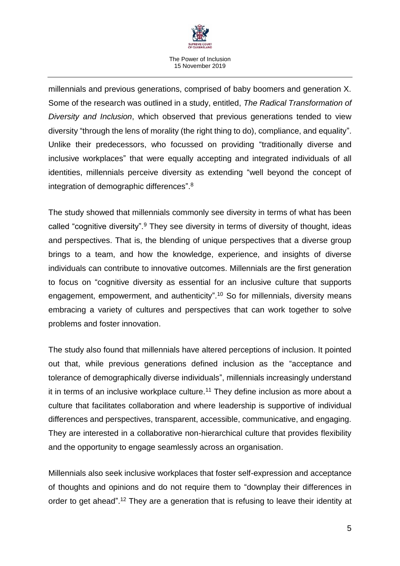

millennials and previous generations, comprised of baby boomers and generation X. Some of the research was outlined in a study, entitled, *The Radical Transformation of Diversity and Inclusion*, which observed that previous generations tended to view diversity "through the lens of morality (the right thing to do), compliance, and equality". Unlike their predecessors, who focussed on providing "traditionally diverse and inclusive workplaces" that were equally accepting and integrated individuals of all identities, millennials perceive diversity as extending "well beyond the concept of integration of demographic differences".<sup>8</sup>

The study showed that millennials commonly see diversity in terms of what has been called "cognitive diversity".<sup>9</sup> They see diversity in terms of diversity of thought, ideas and perspectives. That is, the blending of unique perspectives that a diverse group brings to a team, and how the knowledge, experience, and insights of diverse individuals can contribute to innovative outcomes. Millennials are the first generation to focus on "cognitive diversity as essential for an inclusive culture that supports engagement, empowerment, and authenticity".<sup>10</sup> So for millennials, diversity means embracing a variety of cultures and perspectives that can work together to solve problems and foster innovation.

The study also found that millennials have altered perceptions of inclusion. It pointed out that, while previous generations defined inclusion as the "acceptance and tolerance of demographically diverse individuals", millennials increasingly understand it in terms of an inclusive workplace culture.<sup>11</sup> They define inclusion as more about a culture that facilitates collaboration and where leadership is supportive of individual differences and perspectives, transparent, accessible, communicative, and engaging. They are interested in a collaborative non-hierarchical culture that provides flexibility and the opportunity to engage seamlessly across an organisation.

Millennials also seek inclusive workplaces that foster self-expression and acceptance of thoughts and opinions and do not require them to "downplay their differences in order to get ahead".<sup>12</sup> They are a generation that is refusing to leave their identity at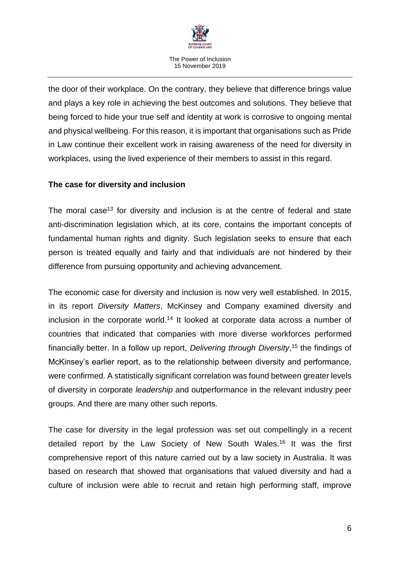

the door of their workplace. On the contrary, they believe that difference brings value and plays a key role in achieving the best outcomes and solutions. They believe that being forced to hide your true self and identity at work is corrosive to ongoing mental and physical wellbeing. For this reason, it is important that organisations such as Pride in Law continue their excellent work in raising awareness of the need for diversity in workplaces, using the lived experience of their members to assist in this regard.

## **The case for diversity and inclusion**

The moral case<sup>13</sup> for diversity and inclusion is at the centre of federal and state anti-discrimination legislation which, at its core, contains the important concepts of fundamental human rights and dignity. Such legislation seeks to ensure that each person is treated equally and fairly and that individuals are not hindered by their difference from pursuing opportunity and achieving advancement.

The economic case for diversity and inclusion is now very well established. In 2015, in its report *Diversity Matters*, McKinsey and Company examined diversity and inclusion in the corporate world.<sup>14</sup> It looked at corporate data across a number of countries that indicated that companies with more diverse workforces performed financially better. In a follow up report, *Delivering through Diversity*, <sup>15</sup> the findings of McKinsey's earlier report, as to the relationship between diversity and performance, were confirmed. A statistically significant correlation was found between greater levels of diversity in corporate *leadership* and outperformance in the relevant industry peer groups. And there are many other such reports.

The case for diversity in the legal profession was set out compellingly in a recent detailed report by the Law Society of New South Wales. <sup>16</sup> It was the first comprehensive report of this nature carried out by a law society in Australia. It was based on research that showed that organisations that valued diversity and had a culture of inclusion were able to recruit and retain high performing staff, improve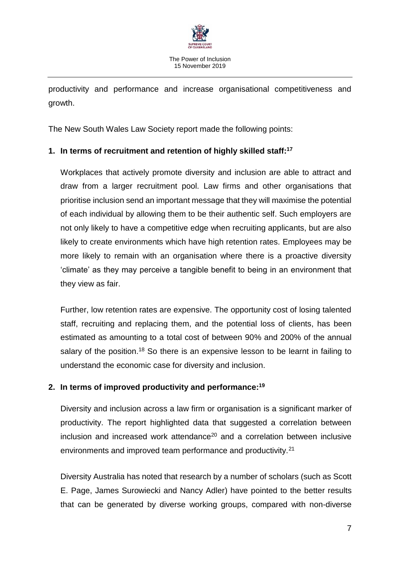

productivity and performance and increase organisational competitiveness and growth.

The New South Wales Law Society report made the following points:

## **1. In terms of recruitment and retention of highly skilled staff: 17**

Workplaces that actively promote diversity and inclusion are able to attract and draw from a larger recruitment pool. Law firms and other organisations that prioritise inclusion send an important message that they will maximise the potential of each individual by allowing them to be their authentic self. Such employers are not only likely to have a competitive edge when recruiting applicants, but are also likely to create environments which have high retention rates. Employees may be more likely to remain with an organisation where there is a proactive diversity 'climate' as they may perceive a tangible benefit to being in an environment that they view as fair.

Further, low retention rates are expensive. The opportunity cost of losing talented staff, recruiting and replacing them, and the potential loss of clients, has been estimated as amounting to a total cost of between 90% and 200% of the annual salary of the position.<sup>18</sup> So there is an expensive lesson to be learnt in failing to understand the economic case for diversity and inclusion.

## **2. In terms of improved productivity and performance: 19**

Diversity and inclusion across a law firm or organisation is a significant marker of productivity. The report highlighted data that suggested a correlation between  $inclusion$  and increased work attendance<sup>20</sup> and a correlation between inclusive environments and improved team performance and productivity.<sup>21</sup>

Diversity Australia has noted that research by a number of scholars (such as Scott E. Page, James Surowiecki and Nancy Adler) have pointed to the better results that can be generated by diverse working groups, compared with non-diverse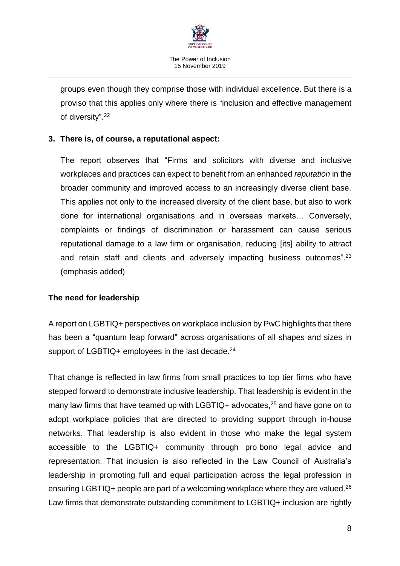

groups even though they comprise those with individual excellence. But there is a proviso that this applies only where there is "inclusion and effective management of diversity".<sup>22</sup>

#### **3. There is, of course, a reputational aspect:**

The report observes that "Firms and solicitors with diverse and inclusive workplaces and practices can expect to benefit from an enhanced *reputation* in the broader community and improved access to an increasingly diverse client base. This applies not only to the increased diversity of the client base, but also to work done for international organisations and in overseas markets… Conversely, complaints or findings of discrimination or harassment can cause serious reputational damage to a law firm or organisation, reducing [its] ability to attract and retain staff and clients and adversely impacting business outcomes".<sup>23</sup> (emphasis added)

#### **The need for leadership**

A report on LGBTIQ+ perspectives on workplace inclusion by PwC highlights that there has been a "quantum leap forward" across organisations of all shapes and sizes in support of LGBTIQ+ employees in the last decade.<sup>24</sup>

That change is reflected in law firms from small practices to top tier firms who have stepped forward to demonstrate inclusive leadership. That leadership is evident in the many law firms that have teamed up with LGBTIQ+ advocates,<sup>25</sup> and have gone on to adopt workplace policies that are directed to providing support through in-house networks. That leadership is also evident in those who make the legal system accessible to the LGBTIQ+ community through pro bono legal advice and representation. That inclusion is also reflected in the Law Council of Australia's leadership in promoting full and equal participation across the legal profession in ensuring LGBTIQ+ people are part of a welcoming workplace where they are valued.<sup>26</sup> Law firms that demonstrate outstanding commitment to LGBTIQ+ inclusion are rightly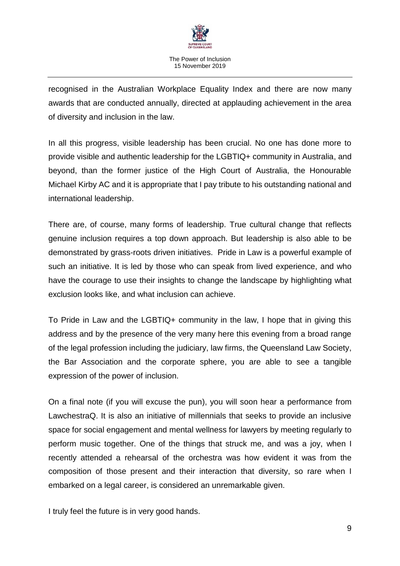

recognised in the Australian Workplace Equality Index and there are now many awards that are conducted annually, directed at applauding achievement in the area of diversity and inclusion in the law.

In all this progress, visible leadership has been crucial. No one has done more to provide visible and authentic leadership for the LGBTIQ+ community in Australia, and beyond, than the former justice of the High Court of Australia, the Honourable Michael Kirby AC and it is appropriate that I pay tribute to his outstanding national and international leadership.

There are, of course, many forms of leadership. True cultural change that reflects genuine inclusion requires a top down approach. But leadership is also able to be demonstrated by grass-roots driven initiatives. Pride in Law is a powerful example of such an initiative. It is led by those who can speak from lived experience, and who have the courage to use their insights to change the landscape by highlighting what exclusion looks like, and what inclusion can achieve.

To Pride in Law and the LGBTIQ+ community in the law, I hope that in giving this address and by the presence of the very many here this evening from a broad range of the legal profession including the judiciary, law firms, the Queensland Law Society, the Bar Association and the corporate sphere, you are able to see a tangible expression of the power of inclusion.

On a final note (if you will excuse the pun), you will soon hear a performance from LawchestraQ. It is also an initiative of millennials that seeks to provide an inclusive space for social engagement and mental wellness for lawyers by meeting regularly to perform music together. One of the things that struck me, and was a joy, when I recently attended a rehearsal of the orchestra was how evident it was from the composition of those present and their interaction that diversity, so rare when I embarked on a legal career, is considered an unremarkable given.

I truly feel the future is in very good hands.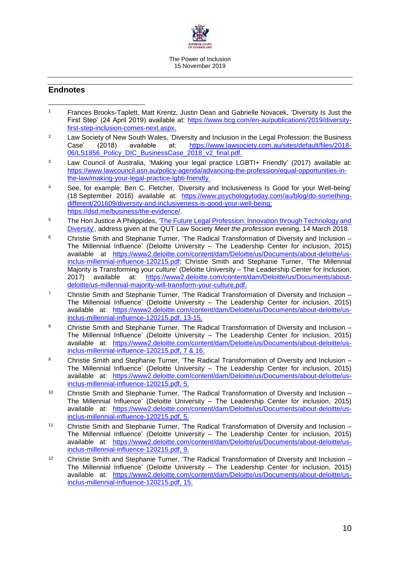

#### **Endnotes**

- <sup>1</sup> Frances Brooks-Taplett, Matt Krentz, Justin Dean and Gabrielle Novacek, 'Diversity Is Just the First Step' (24 April 2019) available at: [https://www.bcg.com/en-au/publications/2019/diversity](https://www.bcg.com/en-au/publications/2019/diversity-first-step-inclusion-comes-next.aspx)[first-step-inclusion-comes-next.aspx.](https://www.bcg.com/en-au/publications/2019/diversity-first-step-inclusion-comes-next.aspx) 1
- <sup>2</sup> Law Society of New South Wales, 'Diversity and Inclusion in the Legal Profession: the Business Case' (2018) available at: [https://www.lawsociety.com.au/sites/default/files/2018-](https://www.lawsociety.com.au/sites/default/files/2018-06/LS1856_Policy_DIC_BusinessCase_2018_v2_final.pdf) [06/LS1856\\_Policy\\_DIC\\_BusinessCase\\_2018\\_v2\\_final.pdf.](https://www.lawsociety.com.au/sites/default/files/2018-06/LS1856_Policy_DIC_BusinessCase_2018_v2_final.pdf)
- <sup>3</sup> Law Council of Australia, 'Making your legal practice LGBTI+ Friendly' (2017) available at: [https://www.lawcouncil.asn.au/policy-agenda/advancing-the-profession/equal-opportunities-in](https://www.lawcouncil.asn.au/policy-agenda/advancing-the-profession/equal-opportunities-in-the-law/making-your-legal-practice-lgbti-friendly)[the-law/making-your-legal-practice-lgbti-friendly.](https://www.lawcouncil.asn.au/policy-agenda/advancing-the-profession/equal-opportunities-in-the-law/making-your-legal-practice-lgbti-friendly)
- <sup>4</sup> See, for example: Ben C. Fletcher, 'Diversity and Inclusiveness Is Good for your Well-being' (18 September 2016) available at: [https://www.psychologytoday.com/au/blog/do-something](https://www.psychologytoday.com/au/blog/do-something-different/201609/diversity-and-inclusiveness-is-good-your-well-being)[different/201609/diversity-and-inclusiveness-is-good-your-well-being;](https://www.psychologytoday.com/au/blog/do-something-different/201609/diversity-and-inclusiveness-is-good-your-well-being) [https://dsd.me/business/the-evidence/.](https://dsd.me/business/the-evidence/)
- <sup>5</sup> The Hon Justice A Philippides, 'The Future Legal Profession: Innovation through Technology and [Diversity',](https://archive.sclqld.org.au/judgepub/2018/philippides20180314.pdf) address given at the QUT Law Society *Meet the profession* evening, 14 March 2018.
- <sup>6</sup> Christie Smith and Stephanie Turner, 'The Radical Transformation of Diversity and Inclusion The Millennial Influence' (Deloitte University – The Leadership Center for inclusion, 2015) available at [https://www2.deloitte.com/content/dam/Deloitte/us/Documents/about-deloitte/us](https://www2.deloitte.com/content/dam/Deloitte/us/Documents/about-deloitte/us-inclus-millennial-influence-120215.pdf)[inclus-millennial-influence-120215.pdf;](https://www2.deloitte.com/content/dam/Deloitte/us/Documents/about-deloitte/us-inclus-millennial-influence-120215.pdf) Christie Smith and Stephanie Turner, 'The Millennial Majority is Transforming your culture' (Deloitte University – The Leadership Center for Inclusion, 2017) available at: [https://www2.deloitte.com/content/dam/Deloitte/us/Documents/about](https://www2.deloitte.com/content/dam/Deloitte/us/Documents/about-deloitte/us-millennial-majority-will-transform-your-culture.pdf)[deloitte/us-millennial-majority-will-transform-your-culture.pdf.](https://www2.deloitte.com/content/dam/Deloitte/us/Documents/about-deloitte/us-millennial-majority-will-transform-your-culture.pdf)
- <sup>7</sup> Christie Smith and Stephanie Turner, 'The Radical Transformation of Diversity and Inclusion The Millennial Influence' (Deloitte University – The Leadership Center for inclusion, 2015) available at: [https://www2.deloitte.com/content/dam/Deloitte/us/Documents/about-deloitte/us](https://www2.deloitte.com/content/dam/Deloitte/us/Documents/about-deloitte/us-inclus-millennial-influence-120215.pdf)[inclus-millennial-influence-120215.pdf,](https://www2.deloitte.com/content/dam/Deloitte/us/Documents/about-deloitte/us-inclus-millennial-influence-120215.pdf) 13-15.
- 8 Christie Smith and Stephanie Turner, 'The Radical Transformation of Diversity and Inclusion The Millennial Influence' (Deloitte University – The Leadership Center for inclusion, 2015) available at: [https://www2.deloitte.com/content/dam/Deloitte/us/Documents/about-deloitte/us](https://www2.deloitte.com/content/dam/Deloitte/us/Documents/about-deloitte/us-inclus-millennial-influence-120215.pdf)[inclus-millennial-influence-120215.pdf,](https://www2.deloitte.com/content/dam/Deloitte/us/Documents/about-deloitte/us-inclus-millennial-influence-120215.pdf) 7 & 16.
- <sup>9</sup> Christie Smith and Stephanie Turner, 'The Radical Transformation of Diversity and Inclusion The Millennial Influence' (Deloitte University – The Leadership Center for inclusion, 2015) available at: [https://www2.deloitte.com/content/dam/Deloitte/us/Documents/about-deloitte/us](https://www2.deloitte.com/content/dam/Deloitte/us/Documents/about-deloitte/us-inclus-millennial-influence-120215.pdf)[inclus-millennial-influence-120215.pdf,](https://www2.deloitte.com/content/dam/Deloitte/us/Documents/about-deloitte/us-inclus-millennial-influence-120215.pdf) 5.
- <sup>10</sup> Christie Smith and Stephanie Turner, 'The Radical Transformation of Diversity and Inclusion The Millennial Influence' (Deloitte University – The Leadership Center for inclusion, 2015) available at: [https://www2.deloitte.com/content/dam/Deloitte/us/Documents/about-deloitte/us](https://www2.deloitte.com/content/dam/Deloitte/us/Documents/about-deloitte/us-inclus-millennial-influence-120215.pdf)[inclus-millennial-influence-120215.pdf,](https://www2.deloitte.com/content/dam/Deloitte/us/Documents/about-deloitte/us-inclus-millennial-influence-120215.pdf) 5.
- <sup>11</sup> Christie Smith and Stephanie Turner, 'The Radical Transformation of Diversity and Inclusion The Millennial Influence' (Deloitte University – The Leadership Center for inclusion, 2015) available at: [https://www2.deloitte.com/content/dam/Deloitte/us/Documents/about-deloitte/us](https://www2.deloitte.com/content/dam/Deloitte/us/Documents/about-deloitte/us-inclus-millennial-influence-120215.pdf)[inclus-millennial-influence-120215.pdf,](https://www2.deloitte.com/content/dam/Deloitte/us/Documents/about-deloitte/us-inclus-millennial-influence-120215.pdf) 9.
- <sup>12</sup> Christie Smith and Stephanie Turner, 'The Radical Transformation of Diversity and Inclusion The Millennial Influence' (Deloitte University – The Leadership Center for inclusion, 2015) available at: [https://www2.deloitte.com/content/dam/Deloitte/us/Documents/about-deloitte/us](https://www2.deloitte.com/content/dam/Deloitte/us/Documents/about-deloitte/us-inclus-millennial-influence-120215.pdf)[inclus-millennial-influence-120215.pdf,](https://www2.deloitte.com/content/dam/Deloitte/us/Documents/about-deloitte/us-inclus-millennial-influence-120215.pdf) 15.